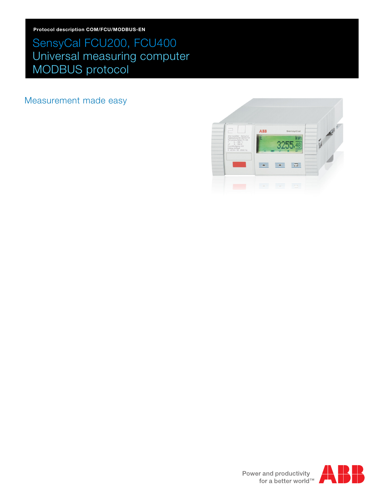## SensyCal FCU200, FCU400 Universal measuring computer MODBUS protocol

Measurement made easy



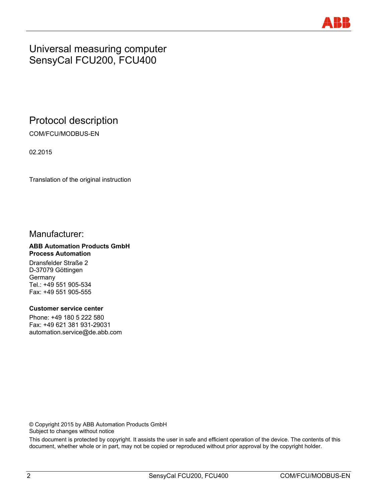

## Universal measuring computer SensyCal FCU200, FCU400

## Protocol description

COM/FCU/MODBUS-EN

02.2015

Translation of the original instruction

## Manufacturer:

#### **ABB Automation Products GmbH Process Automation**

Dransfelder Straße 2 D-37079 Göttingen Germany Tel.: +49 551 905-534 Fax: +49 551 905-555

#### **Customer service center**

Phone: +49 180 5 222 580 Fax: +49 621 381 931-29031 automation.service@de.abb.com

© Copyright 2015 by ABB Automation Products GmbH Subject to changes without notice

This document is protected by copyright. It assists the user in safe and efficient operation of the device. The contents of this document, whether whole or in part, may not be copied or reproduced without prior approval by the copyright holder.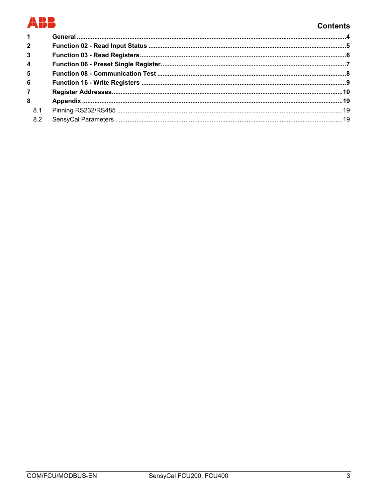# BB

## **Contents**

| $1 \quad$               |  |
|-------------------------|--|
| $\overline{2}$          |  |
| 3 <sup>1</sup>          |  |
| $\overline{\mathbf{4}}$ |  |
| 5                       |  |
| 6 <sup>1</sup>          |  |
| $\overline{7}$          |  |
| 8                       |  |
| 8.1                     |  |
| 8.2                     |  |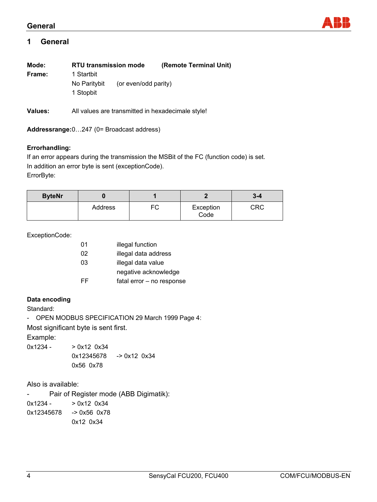#### **General**



### **1 General**

| Mode:   | <b>RTU transmission mode</b>            |                      | (Remote Terminal Unit)                            |
|---------|-----------------------------------------|----------------------|---------------------------------------------------|
| Frame:  | 1 Startbit<br>No Paritybit<br>1 Stopbit | (or even/odd parity) |                                                   |
| Values: |                                         |                      | All values are transmitted in hexadecimale style! |

**Addressrange:** 0…247 (0= Broadcast address)

#### **Errorhandling:**

If an error appears during the transmission the MSBit of the FC (function code) is set. In addition an error byte is sent (exceptionCode). ErrorByte:

| <b>ByteNr</b> |         |    |                   | $3 - 4$ |
|---------------|---------|----|-------------------|---------|
|               | Address | FC | Exception<br>Code | CRC     |

ExceptionCode:

| 01 | illegal function          |
|----|---------------------------|
| 02 | illegal data address      |
| 03 | illegal data value        |
|    | negative acknowledge      |
| FF | fatal error - no response |
|    |                           |

#### **Data encoding**

Standard:

- OPEN MODBUS SPECIFICATION 29 March 1999 Page 4:

Most significant byte is sent first.

Example:

 $0x1234 - 0x120x34$  0x12345678 -> 0x12 0x34 0x56 0x78

Also is available:

- Pair of Register mode (ABB Digimatik):

 $0x1234 - 0x120x34$ 0x12345678 -> 0x56 0x78 0x12 0x34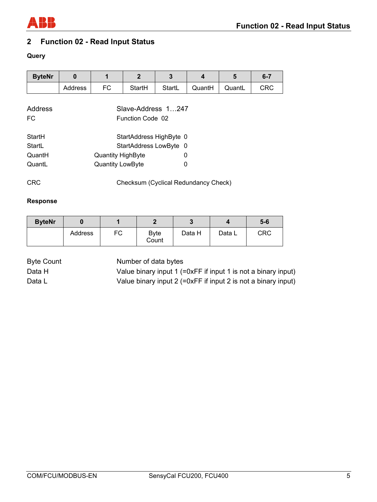

## **2 Function 02 - Read Input Status**

## **Query**

| <b>ByteNr</b>  | 0                                      | 1                       | $\mathbf{2}$ | 3                       | $\boldsymbol{4}$ | 5      | $6 - 7$    |  |  |
|----------------|----------------------------------------|-------------------------|--------------|-------------------------|------------------|--------|------------|--|--|
|                | Address                                | FC                      | StartH       | StartL                  | QuantH           | QuantL | <b>CRC</b> |  |  |
| Address<br>FC. | Slave-Address 1247<br>Function Code 02 |                         |              |                         |                  |        |            |  |  |
| StartH         |                                        |                         |              | StartAddress HighByte 0 |                  |        |            |  |  |
| StartL         |                                        |                         |              | StartAddress LowByte 0  |                  |        |            |  |  |
| QuantH         | 0<br><b>Quantity HighByte</b>          |                         |              |                         |                  |        |            |  |  |
| QuantL         |                                        | <b>Quantity LowByte</b> |              | 0                       |                  |        |            |  |  |

CRC Checksum (Cyclical Redundancy Check)

#### **Response**

| <b>ByteNr</b> |         |    |                      |        |        | $5-6$ |
|---------------|---------|----|----------------------|--------|--------|-------|
|               | Address | FC | <b>Byte</b><br>Count | Data H | Data L | CRC   |

Byte Count Number of data bytes

Data H Value binary input 1 (=0xFF if input 1 is not a binary input) Data L Value binary input 2 (=0xFF if input 2 is not a binary input)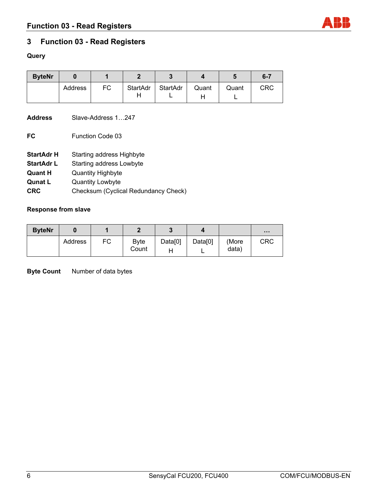## **3 Function 03 - Read Registers**

#### **Query**

| <b>ByteNr</b> |         |    | m             |          |       |       | $6 - 7$    |
|---------------|---------|----|---------------|----------|-------|-------|------------|
|               | Address | FC | StartAdr<br>Н | StartAdr | Quant | Quant | <b>CRC</b> |

**Address** Slave-Address 1…247

**FC** Function Code 03

- **StartAdr H** Starting address Highbyte
- **StartAdr L** Starting address Lowbyte
- **Quant H Quantity Highbyte**
- **Qunat L** Quantity Lowbyte
- **CRC** Checksum (Cyclical Redundancy Check)

#### **Response from slave**

| <b>ByteNr</b> |         |    | n             |         |         |                | $\cdots$ |
|---------------|---------|----|---------------|---------|---------|----------------|----------|
|               | Address | FC | Byte<br>Count | Data[0] | Data[0] | (More<br>data) | CRC      |

**Byte Count** Number of data bytes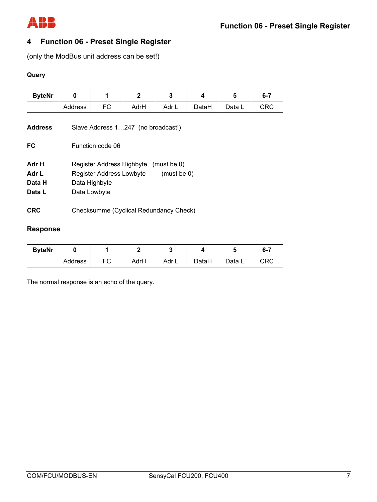

## **4 Function 06 - Preset Single Register**

(only the ModBus unit address can be set!)

### **Query**

| <b>ByteNr</b> |         |    | r    |       |       |        | $6 - 7$ |
|---------------|---------|----|------|-------|-------|--------|---------|
|               | Address | FC | AdrH | Adr L | DataH | Data L | CRC     |

| <b>Address</b> | Slave Address 1247 (no broadcast!)       |
|----------------|------------------------------------------|
| FC             | Function code 06                         |
| Adr H          | Register Address Highbyte<br>(must be 0) |
| Adr L          | Register Address Lowbyte<br>(must be 0)  |
| Data H         | Data Highbyte                            |
| Data L         | Data Lowbyte                             |
| <b>CRC</b>     | Checksumme (Cyclical Redundancy Check)   |

## **Response**

| <b>ByteNr</b> |         |    |      |       |       |        | 6-7 |
|---------------|---------|----|------|-------|-------|--------|-----|
|               | Address | FC | AdrH | Adr L | DataH | Data L | CRC |

The normal response is an echo of the query.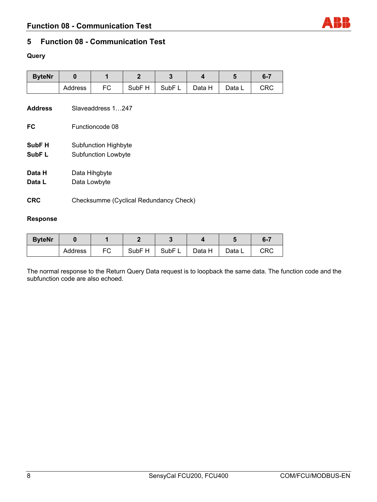## **5 Function 08 - Communication Test**

## **Query**

| <b>ByteNr</b>               | $\bf{0}$                                           | 1               | $\mathbf{2}$      | 3                 | 4      | 5      | $6 - 7$    |  |  |  |
|-----------------------------|----------------------------------------------------|-----------------|-------------------|-------------------|--------|--------|------------|--|--|--|
|                             | Address                                            | FC              | SubF <sub>H</sub> | SubF <sub>L</sub> | Data H | Data L | <b>CRC</b> |  |  |  |
| <b>Address</b>              | Slaveaddress 1247                                  |                 |                   |                   |        |        |            |  |  |  |
| FC                          |                                                    | Functioncode 08 |                   |                   |        |        |            |  |  |  |
| SubF <sub>H</sub><br>SubF L | <b>Subfunction Highbyte</b><br>Subfunction Lowbyte |                 |                   |                   |        |        |            |  |  |  |
| Data H                      | Data Hihgbyte                                      |                 |                   |                   |        |        |            |  |  |  |
| Data L                      | Data Lowbyte                                       |                 |                   |                   |        |        |            |  |  |  |
| <b>CRC</b>                  | Checksumme (Cyclical Redundancy Check)             |                 |                   |                   |        |        |            |  |  |  |

#### **Response**

| <b>ByteNr</b> |         |    |                   |           |        |        | $6 - 7$ |
|---------------|---------|----|-------------------|-----------|--------|--------|---------|
|               | Address | FC | SubF <sub>H</sub> | SubF<br>┕ | Data H | Data L | CRC     |

The normal response to the Return Query Data request is to loopback the same data. The function code and the subfunction code are also echoed.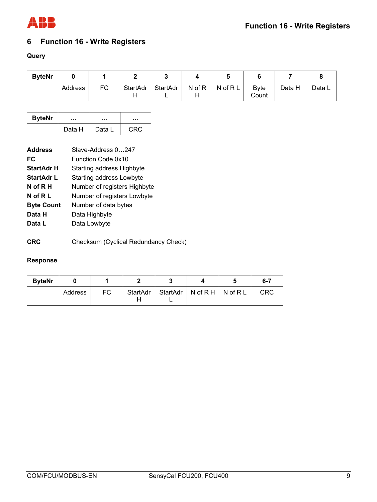

## **6 Function 16 - Write Registers**

## **Query**

| <b>ByteNr</b> |         |    |               |          |        |          |                       |        |        |
|---------------|---------|----|---------------|----------|--------|----------|-----------------------|--------|--------|
|               | Address | FC | StartAdr<br>п | StartAdr | N of R | N of R L | <b>B</b> vte<br>Count | Data H | Data L |

| <b>ByteNr</b> |        |        |     |  |
|---------------|--------|--------|-----|--|
|               | Data H | Data L | CRC |  |

| <b>Address</b>    | Slave-Address 0247              |
|-------------------|---------------------------------|
| FC                | <b>Function Code 0x10</b>       |
| StartAdr H        | Starting address Highbyte       |
| <b>StartAdr L</b> | <b>Starting address Lowbyte</b> |
| N of R H          | Number of registers Highbyte    |
| N of R L          | Number of registers Lowbyte     |
| <b>Byte Count</b> | Number of data bytes            |
| Data H            | Data Highbyte                   |
| Data L            | Data Lowbyte                    |
|                   |                                 |

**CRC** Checksum (Cyclical Redundancy Check)

### **Response**

| <b>ByteNr</b> |         |    |          |                                | $6 - 7$ |
|---------------|---------|----|----------|--------------------------------|---------|
|               | Address | FC | StartAdr | StartAdr   N of R H   N of R L | CRC     |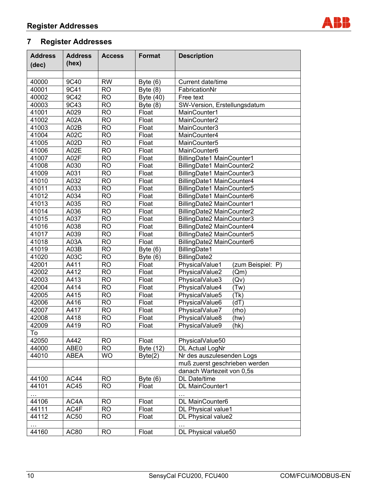

| <b>Address</b><br>(dec) | <b>Address</b><br>(hex) | <b>Access</b> | <b>Format</b>       | <b>Description</b>                  |
|-------------------------|-------------------------|---------------|---------------------|-------------------------------------|
|                         |                         |               |                     |                                     |
| 40000                   | 9C40                    | <b>RW</b>     | Byte $(6)$          | Current date/time                   |
| 40001                   | 9C41                    | <b>RO</b>     | Byte $(8)$          | FabricationNr                       |
| 40002                   | 9C42                    | <b>RO</b>     |                     | Free text                           |
| 40003                   | 9C43                    | <b>RO</b>     | Byte (40)           | SW-Version, Erstellungsdatum        |
| 41001                   | A029                    | <b>RO</b>     | Byte $(8)$<br>Float | MainCounter1                        |
| 41002                   | A02A                    | <b>RO</b>     | Float               | MainCounter2                        |
| 41003                   | A02B                    | <b>RO</b>     | Float               | MainCounter3                        |
| 41004                   | A02C                    | <b>RO</b>     | Float               | MainCounter4                        |
| 41005                   | A02D                    | <b>RO</b>     | Float               | MainCounter5                        |
| 41006                   | A02E                    | <b>RO</b>     | Float               | MainCounter6                        |
| 41007                   | A02F                    | <b>RO</b>     | Float               |                                     |
|                         |                         | <b>RO</b>     |                     | BillingDate1 MainCounter1           |
| 41008                   | A030                    | <b>RO</b>     | Float               | BillingDate1 MainCounter2           |
| 41009                   | A031                    |               | Float               | BillingDate1 MainCounter3           |
| 41010                   | A032                    | <b>RO</b>     | Float               | BillingDate1 MainCounter4           |
| 41011                   | A033                    | <b>RO</b>     | Float               | BillingDate1 MainCounter5           |
| 41012                   | A034                    | <b>RO</b>     | Float               | BillingDate1 MainCounter6           |
| 41013                   | A035                    | <b>RO</b>     | Float               | BillingDate2 MainCounter1           |
| 41014                   | A036                    | <b>RO</b>     | Float               | BillingDate2 MainCounter2           |
| 41015                   | A037                    | <b>RO</b>     | Float               | BillingDate2 MainCounter3           |
| 41016                   | A038                    | <b>RO</b>     | Float               | BillingDate2 MainCounter4           |
| 41017                   | A039                    | <b>RO</b>     | Float               | BillingDate2 MainCounter5           |
| 41018                   | A03A                    | <b>RO</b>     | Float               | BillingDate2 MainCounter6           |
| 41019                   | A03B                    | <b>RO</b>     | Byte $(6)$          | BillingDate1                        |
| 41020                   | A03C                    | <b>RO</b>     | Byte $(6)$          | BillingDate2                        |
| 42001                   | A411                    | <b>RO</b>     | Float               | PhysicalValue1<br>(zum Beispiel: P) |
| 42002                   | A412                    | <b>RO</b>     | Float               | PhysicalValue2<br>(Qm)              |
| 42003                   | A413                    | <b>RO</b>     | Float               | PhysicalValue3<br>(Qv)              |
| 42004                   | A414                    | <b>RO</b>     | Float               | PhysicalValue4<br>(Tw)              |
| 42005                   | A415                    | <b>RO</b>     | Float               | PhysicalValue5<br>(Tk)              |
| 42006                   | A416                    | <b>RO</b>     | Float               | (Tb)<br>PhysicalValue6              |
| 42007                   | A417                    | <b>RO</b>     | Float               | PhysicalValue7<br>(rho)             |
| 42008                   | A418                    | <b>RO</b>     | Float               | PhysicalValue8<br>(hw)              |
| 42009                   | A419                    | <b>RO</b>     | Float               | PhysicalValue9<br>(hk)              |
| To                      |                         |               |                     |                                     |
| 42050                   | A442                    | <b>RO</b>     | Float               | PhysicalValue50                     |
| 44000                   | ABE0                    | <b>RO</b>     | Byte (12)           | DL Actual LogNr                     |
| 44010                   | ABEA                    | <b>WO</b>     | Byte(2)             | Nr des auszulesenden Logs           |
|                         |                         |               |                     | muß zuerst geschrieben werden       |
|                         |                         |               |                     | danach Wartezeit von 0,5s           |
| 44100                   | AC44                    | <b>RO</b>     | Byte $(6)$          | DL Date/time                        |
| 44101                   | <b>AC45</b>             | <b>RO</b>     | Float               | DL MainCounter1                     |
|                         |                         |               |                     |                                     |
| $\cdots$<br>44106       | AC4A                    | <b>RO</b>     | Float               | DL MainCounter6                     |
| 44111                   | AC4F                    | <b>RO</b>     | Float               | DL Physical value1                  |
| 44112                   | <b>AC50</b>             | <b>RO</b>     | Float               | DL Physical value2                  |
|                         |                         |               |                     |                                     |
| 44160                   | AC80                    | <b>RO</b>     | Float               | DL Physical value50                 |
|                         |                         |               |                     |                                     |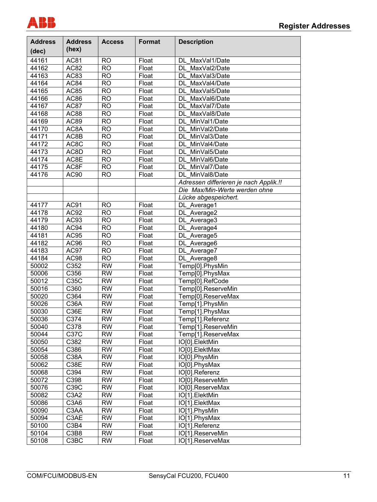

| <b>Address</b> | <b>Address</b><br>(hex) | <b>Access</b>   | <b>Format</b>       | <b>Description</b>                     |
|----------------|-------------------------|-----------------|---------------------|----------------------------------------|
| (dec)          |                         |                 |                     |                                        |
| 44161          | <b>AC81</b>             | <b>RO</b>       | Float               | MaxVal1/Date<br>DL                     |
| 44162          | AC82                    | $\overline{RO}$ | Float               | MaxVal2/Date<br><b>DL</b>              |
| 44163          | <b>AC83</b>             | $\overline{RO}$ | Float               | MaxVal3/Date<br>DL                     |
| 44164          | AC84                    | $\overline{RO}$ | Float               | MaxVal4/Date<br>DL                     |
| 44165          | AC85                    | $\overline{RO}$ | Float               | MaxVal5/Date<br>DL                     |
| 44166          | AC86                    | $\overline{RO}$ | Float               | MaxVal6/Date<br>DL                     |
| 44167          | AC87                    | $\overline{RO}$ | Float               | MaxVal7/Date<br>DL                     |
| 44168          | AC88                    | $\overline{RO}$ | Float               | MaxVal8/Date<br>DL                     |
| 44169          | <b>AC89</b>             | $\overline{RO}$ | Float               | MinVal1/Date<br>DL                     |
| 44170          | AC8A                    | $\overline{RO}$ | Float               | MinVal2/Date<br>DL                     |
| 44171          | AC8B                    | $\overline{RO}$ | Float               | MinVal3/Date<br>DL                     |
| 44172          | AC8C                    | $\overline{RO}$ | Float               | MinVal4/Date<br>DL                     |
| 44173          | AC8D                    | $\overline{RO}$ | Float               | MinVal5/Date<br>DL                     |
| 44174          | AC8E                    | $\overline{RO}$ | Float               | MinVal6/Date<br>DL                     |
| 44175          | AC8F                    | <b>RO</b>       | $\overline{F}$ loat | MinVal7/Date<br>DL                     |
| 44176          | AC90                    | <b>RO</b>       | Float               | MinVal8/Date<br>DL.                    |
|                |                         |                 |                     | Adressen differieren je nach Applik.!! |
|                |                         |                 |                     | Die Max/Min-Werte werden ohne          |
|                |                         |                 |                     | Lücke abgespeichert.                   |
| 44177          | AC91                    | <b>RO</b>       | Float               | DL_Average1                            |
| 44178          | AC92                    | $\overline{RO}$ | Float               | DL_Average2                            |
| 44179          | AC93                    | $\overline{RO}$ | Float               | DL_Average3                            |
| 44180          | AC94                    | $\overline{RO}$ | Float               | DL_Average4                            |
| 44181          | AC95                    | $\overline{RO}$ | Float               | DL_Average5                            |
| 44182          | AC96                    | $\overline{RO}$ | Float               | DL_Average6                            |
| 44183          | AC97                    | $\overline{RO}$ | Float               | DL_Average7                            |
| 44184          | AC98                    | $\overline{RO}$ | Float               | DL_Average8                            |
| 50002          | C352                    | $\overline{RW}$ | Float               | Temp[0].PhysMin                        |
| 50006          | C356                    | $\overline{RW}$ | Float               | Temp[0].PhysMax                        |
| 50012          | C35C                    | $\overline{RW}$ | Float               | Temp[0].RefCode                        |
| 50016          | C360                    | $\overline{RW}$ | Float               | Temp[0].ReserveMin                     |
| 50020          | C364                    | $\overline{RW}$ | Float               | Temp[0].ReserveMax                     |
| 50026          | C36A                    | $\overline{RW}$ | Float               | Temp[1].PhysMin                        |
| 50030          | C <sub>36</sub> E       | $\overline{RW}$ | Float               | Temp[1].PhysMax                        |
| 50036          | C374                    | $\overline{RW}$ | Float               | Temp[1].Referenz                       |
| 50040          | C378                    | <b>RW</b>       | Float               | Temp[1].ReserveMin                     |
| 50044          | $\overline{C37C}$       | $\overline{RW}$ | Float               | Temp[1].ReserveMax                     |
| 50050          | C382                    | $\overline{RW}$ | Float               | IO[0].ElektMin                         |
| 50054          | C386                    | $\overline{RW}$ | Float               | IO <sub>[0]</sub> .ElektMax            |
| 50058          | C38A                    | $\overline{RW}$ | Float               | IO[0].PhysMin                          |
| 50062          | C38E                    | $\overline{RW}$ | Float               | IO[0].PhysMax                          |
| 50068          | C394                    | $\overline{RW}$ | Float               | IO[0].Referenz                         |
| 50072          | C398                    | $\overline{RW}$ | Float               | IO[0].ReserveMin                       |
| 50076          | C39C                    | $\overline{RW}$ | Float               | IO[0].ReserveMax                       |
| 50082          | C3A2                    | $\overline{RW}$ | Float               | IO[1].ElektMin                         |
| 50086          | C3A6                    | $\overline{RW}$ | Float               | IO[1].ElektMax                         |
| 50090          | C <sub>3</sub> AA       | $\overline{RW}$ | Float               | IO[1].PhysMin                          |
| 50094          | C3AE                    | $\overline{RW}$ | Float               | IO[1].PhysMax                          |
| 50100          | C3B4                    | $\overline{RW}$ | Float               | IO[1].Referenz                         |
| 50104          | C3B8                    | $\overline{RW}$ | Float               | IO[1].ReserveMin                       |
| 50108          | C3BC                    | $\overline{RW}$ | Float               | IO[1].ReserveMax                       |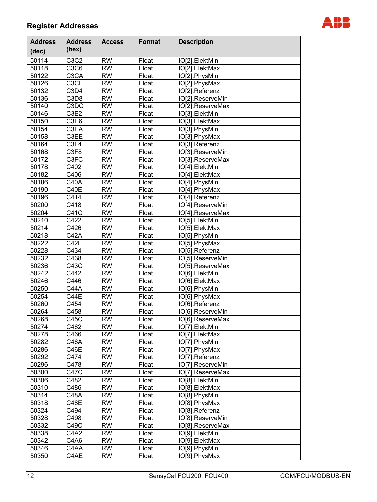

| <b>Address</b><br>(dec) | <b>Address</b><br>(hex)       | <b>Access</b>   | <b>Format</b> | <b>Description</b> |
|-------------------------|-------------------------------|-----------------|---------------|--------------------|
| 50114                   | C3C2                          | <b>RW</b>       | Float         | IO[2].ElektMin     |
| 50118                   | C3C6                          | <b>RW</b>       | Float         | IO[2].ElektMax     |
| 50122                   | C <sub>3</sub> CA             | <b>RW</b>       | Float         | IO[2].PhysMin      |
| 50126                   | C <sub>3</sub> CE             | <b>RW</b>       | Float         | IO[2].PhysMax      |
| 50132                   | C <sub>3</sub> D <sub>4</sub> | <b>RW</b>       | Float         |                    |
|                         | C <sub>3</sub> D <sub>8</sub> | <b>RW</b>       |               | IO[2].Referenz     |
| 50136<br>50140          |                               | <b>RW</b>       | Float         | IO[2].ReserveMin   |
|                         | C <sub>3</sub> D <sub>C</sub> |                 | Float         | IO[2].ReserveMax   |
| 50146                   | C <sub>3</sub> E <sub>2</sub> | <b>RW</b>       | Float         | IO[3].ElektMin     |
| 50150                   | C3E6                          | <b>RW</b>       | Float         | IO[3].ElektMax     |
| 50154                   | C3EA                          | <b>RW</b>       | Float         | IO[3].PhysMin      |
| 50158                   | C3EE                          | <b>RW</b>       | Float         | IO[3].PhysMax      |
| 50164                   | C <sub>3F4</sub>              | <b>RW</b>       | Float         | IO[3].Referenz     |
| 50168                   | C <sub>3F8</sub>              | <b>RW</b>       | Float         | IO[3].ReserveMin   |
| 50172                   | C <sub>3</sub> FC             | <b>RW</b>       | Float         | IO[3].ReserveMax   |
| 50178                   | C402                          | <b>RW</b>       | Float         | IO[4].ElektMin     |
| 50182                   | C406                          | <b>RW</b>       | Float         | IO[4].ElektMax     |
| 50186                   | <b>C40A</b>                   | $\overline{RW}$ | Float         | IO[4].PhysMin      |
| 50190                   | C40E                          | <b>RW</b>       | Float         | IO[4].PhysMax      |
| 50196                   | C414                          | $\overline{RW}$ | Float         | IO[4].Referenz     |
| 50200                   | C418                          | <b>RW</b>       | Float         | IO[4].ReserveMin   |
| 50204                   | C41C                          | <b>RW</b>       | Float         | IO[4].ReserveMax   |
| 50210                   | C422                          | <b>RW</b>       | Float         | IO[5].ElektMin     |
| 50214                   | C426                          | <b>RW</b>       | Float         | IO[5].ElektMax     |
| 50218                   | <b>C42A</b>                   | <b>RW</b>       | Float         | IO[5].PhysMin      |
| 50222                   | C42E                          | <b>RW</b>       | Float         | IO[5].PhysMax      |
| 50228                   | C434                          | <b>RW</b>       | Float         | IO[5].Referenz     |
| 50232                   | C438                          | <b>RW</b>       | Float         | IO[5].ReserveMin   |
| 50236                   | C43C                          | <b>RW</b>       | Float         | IO[5].ReserveMax   |
| 50242                   | C442                          | <b>RW</b>       | Float         | IO[6].ElektMin     |
| 50246                   | C446                          | <b>RW</b>       | Float         | IO[6].ElektMax     |
| 50250                   | <b>C44A</b>                   | <b>RW</b>       | Float         | IO[6].PhysMin      |
| 50254                   | <b>C44E</b>                   | <b>RW</b>       | Float         | IO[6].PhysMax      |
| 50260                   | C454                          | <b>RW</b>       | Float         | IO[6].Referenz     |
| 50264                   | C458                          | <b>RW</b>       | Float         | IO[6].ReserveMin   |
| 50268                   | C45C                          | $R\overline{W}$ | Float         | IO[6].ReserveMax   |
| 50274                   | C462                          | <b>RW</b>       | Float         | IO[7].ElektMin     |
| 50278                   | C466                          | <b>RW</b>       | Float         | IO[7].ElektMax     |
| 50282                   | <b>C46A</b>                   | <b>RW</b>       | Float         | IO[7].PhysMin      |
| 50286                   | C46E                          | <b>RW</b>       | Float         | IO[7].PhysMax      |
| 50292                   | C474                          | <b>RW</b>       | Float         | IO[7].Referenz     |
| 50296                   | C478                          | <b>RW</b>       | Float         | IO[7].ReserveMin   |
| 50300                   | <b>C47C</b>                   | <b>RW</b>       | Float         | IO[7].ReserveMax   |
| 50306                   | C482                          | <b>RW</b>       | Float         | IO[8].ElektMin     |
| 50310                   | C486                          | <b>RW</b>       | Float         | IO[8].ElektMax     |
| 50314                   | <b>C48A</b>                   | <b>RW</b>       | Float         | IO[8].PhysMin      |
| 50318                   | <b>C48E</b>                   | <b>RW</b>       | Float         | IO[8].PhysMax      |
| 50324                   | C494                          | <b>RW</b>       | Float         | IO[8].Referenz     |
| 50328                   | C498                          | <b>RW</b>       | Float         | IO[8].ReserveMin   |
| 50332                   | C49C                          | <b>RW</b>       | Float         | IO[8].ReserveMax   |
| 50338                   | C <sub>4</sub> A <sub>2</sub> | <b>RW</b>       | Float         | IO[9].ElektMin     |
| 50342                   | C4A6                          | <b>RW</b>       | Float         | IO[9].ElektMax     |
| 50346                   | C4AA                          | <b>RW</b>       | Float         | IO[9].PhysMin      |
| 50350                   | C4AE                          | <b>RW</b>       | Float         | IO[9].PhysMax      |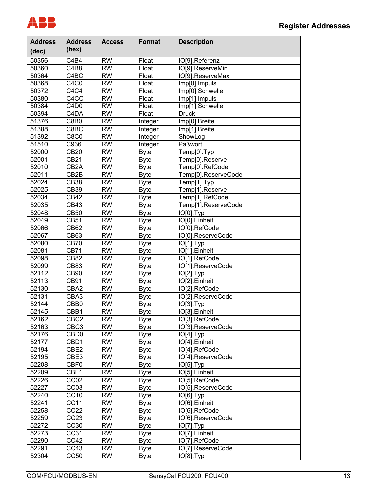

| <b>Address</b> | <b>Address</b>                | <b>Access</b>   | <b>Format</b> | <b>Description</b>       |
|----------------|-------------------------------|-----------------|---------------|--------------------------|
| (dec)          | (hex)                         |                 |               |                          |
| 50356          | C <sub>4</sub> B <sub>4</sub> | <b>RW</b>       | Float         | IO[9].Referenz           |
| 50360          | C4B8                          | $\overline{RW}$ | Float         | IO[9].ReserveMin         |
| 50364          | C <sub>4</sub> BC             | $\overline{RW}$ | Float         | IO[9].ReserveMax         |
| 50368          | C <sub>4</sub> C <sub>0</sub> | $\overline{RW}$ | Float         | Imp[0].Impuls            |
| 50372          | C4C4                          | $\overline{RW}$ | Float         | Imp[0].Schwelle          |
| 50380          | C <sub>4</sub> CC             | $\overline{RW}$ | Float         | Imp[1].Impuls            |
| 50384          | C <sub>4</sub> D <sub>0</sub> | $\overline{RW}$ | Float         | Imp[1].Schwelle          |
| 50394          | C <sub>4</sub> D <sub>A</sub> | $\overline{RW}$ | Float         | <b>Druck</b>             |
| 51376          | C8B0                          | $\overline{RW}$ | Integer       | Imp[0].Breite            |
| 51388          | C8BC                          | $\overline{RW}$ | Integer       | Imp[1].Breite            |
| 51392          | <b>C8C0</b>                   | $\overline{RW}$ | Integer       | ShowLog                  |
| 51510          | C936                          | $\overline{RW}$ | Integer       | Paßwort                  |
| 52000          | CB20                          | <b>RW</b>       | <b>Byte</b>   | Temp[0].Typ              |
| 52001          | <b>CB21</b>                   | <b>RW</b>       | <b>Byte</b>   | Temp[0].Reserve          |
| 52010          | CB <sub>2</sub> A             | $\overline{RW}$ | <b>Byte</b>   | Temp[0].RefCode          |
| 52011          | CB <sub>2</sub> B             | $\overline{RW}$ | <b>Byte</b>   | Temp[0].ReserveCode      |
| 52024          | <b>CB38</b>                   | $\overline{RW}$ | <b>Byte</b>   | Temp[1].Typ              |
| 52025          | <b>CB39</b>                   | $\overline{RW}$ | <b>Byte</b>   | Temp[1].Reserve          |
| 52034          | <b>CB42</b>                   | $\overline{RW}$ | <b>Byte</b>   | Temp[1].RefCode          |
| 52035          | CB43                          | $\overline{RW}$ | <b>Byte</b>   | Temp[1].ReserveCode      |
| 52048          | <b>CB50</b>                   | $\overline{RW}$ | <b>Byte</b>   | IO[0].Typ                |
| 52049          | <b>CB51</b>                   | <b>RW</b>       | <b>Byte</b>   | IO[0].Einheit            |
| 52066          | <b>CB62</b>                   | <b>RW</b>       | <b>Byte</b>   | IO[0].RefCode            |
| 52067          | CB63                          | <b>RW</b>       | <b>Byte</b>   | IO[0].ReserveCode        |
| 52080          | <b>CB70</b>                   | <b>RW</b>       | <b>Byte</b>   | $\overline{IO[1]}$ . Typ |
| 52081          | <b>CB71</b>                   | <b>RW</b>       | <b>Byte</b>   | IO[1].Einheit            |
| 52098          | <b>CB82</b>                   | <b>RW</b>       | <b>Byte</b>   | IO[1].RefCode            |
| 52099          | <b>CB83</b>                   | <b>RW</b>       | <b>Byte</b>   | IO[1].ReserveCode        |
| 52112          | <b>CB90</b>                   | <b>RW</b>       | <b>Byte</b>   | IO[2].Typ                |
| 52113          | CB91                          | <b>RW</b>       | <b>Byte</b>   | IO[2].Einheit            |
| 52130          | CBA2                          | <b>RW</b>       | <b>Byte</b>   | IO[2].RefCode            |
| 52131          | CBA3                          | <b>RW</b>       | <b>Byte</b>   | IO[2].ReserveCode        |
| 52144          | CBB <sub>0</sub>              | <b>RW</b>       | <b>Byte</b>   | IO[3].Typ                |
| 52145          | CBB1                          | <b>RW</b>       | <b>Byte</b>   | IO[3].Einheit            |
| 52162          | CBC <sub>2</sub>              | <b>RW</b>       | <b>Byte</b>   | IO[3].RefCode            |
| 52163          | CBC <sub>3</sub>              | <b>RW</b>       | <b>Byte</b>   | IO[3].ReserveCode        |
| 52176          | CBD <sub>0</sub>              | <b>RW</b>       | <b>Byte</b>   | IO[4].Typ                |
| 52177          | CBD1                          | <b>RW</b>       | <b>Byte</b>   | IO[4].Einheit            |
| 52194          | CBE2                          | <b>RW</b>       | <b>Byte</b>   | IO[4].RefCode            |
| 52195          | CBE3                          | <b>RW</b>       | <b>Byte</b>   | IO[4].ReserveCode        |
| 52208          | CBF0                          | <b>RW</b>       | <b>Byte</b>   | IO[5].Typ                |
| 52209          | CBF1                          | <b>RW</b>       | <b>Byte</b>   | IO[5].Einheit            |
| 52226          | CC <sub>02</sub>              | <b>RW</b>       | <b>Byte</b>   | IO[5].RefCode            |
| 52227          | CC03                          | <b>RW</b>       | <b>Byte</b>   | IO[5].ReserveCode        |
| 52240          | CC10                          | <b>RW</b>       | <b>Byte</b>   | IO[6].Typ                |
| 52241          | CC11                          | <b>RW</b>       | <b>Byte</b>   | IO[6].Einheit            |
| 52258          | CC22                          | <b>RW</b>       | <b>Byte</b>   | IO[6].RefCode            |
| 52259          | CC23                          | <b>RW</b>       | <b>Byte</b>   | IO[6].ReserveCode        |
| 52272          | CC30                          | <b>RW</b>       | <b>Byte</b>   | IO[7].Typ                |
| 52273          | CC31                          | <b>RW</b>       | <b>Byte</b>   | IO[7].Einheit            |
| 52290          | CC42                          | <b>RW</b>       | <b>Byte</b>   | IO[7].RefCode            |
| 52291          | CC43                          | <b>RW</b>       | <b>Byte</b>   | IO[7].ReserveCode        |
| 52304          | <b>CC50</b>                   | <b>RW</b>       | <b>Byte</b>   | IO[8].Typ                |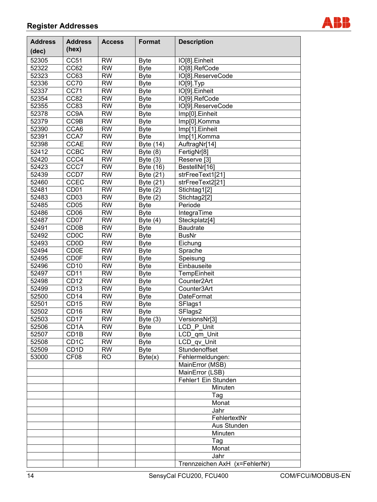

| <b>Address</b> | <b>Address</b>    | <b>Access</b>   | Format           | <b>Description</b>            |
|----------------|-------------------|-----------------|------------------|-------------------------------|
| (dec)          | (hex)             |                 |                  |                               |
| 52305          | <b>CC51</b>       | <b>RW</b>       | <b>Byte</b>      | IO[8].Einheit                 |
| 52322          | CC62              | <b>RW</b>       | <b>Byte</b>      | IO[8].RefCode                 |
| 52323          | CC63              | <b>RW</b>       | <b>Byte</b>      | IO[8].ReserveCode             |
| 52336          | <b>CC70</b>       | <b>RW</b>       | <b>Byte</b>      | IO[9].Typ                     |
| 52337          | <b>CC71</b>       | <b>RW</b>       | <b>Byte</b>      | IO[9].Einheit                 |
| 52354          | <b>CC82</b>       | <b>RW</b>       | <b>Byte</b>      | IO[9].RefCode                 |
| 52355          | CC83              | <b>RW</b>       | <b>Byte</b>      | IO[9].ReserveCode             |
| 52378          | CC9A              | <b>RW</b>       | <b>Byte</b>      | Imp[0]. Einheit               |
| 52379          | CC9B              | <b>RW</b>       | <b>Byte</b>      | Imp[0].Komma                  |
| 52390          | CCA6              | <b>RW</b>       | <b>Byte</b>      | Imp[1].Einheit                |
| 52391          | CCA7              | <b>RW</b>       | <b>Byte</b>      | Imp[1].Komma                  |
| 52398          | <b>CCAE</b>       | <b>RW</b>       | Byte (14)        | AuftragNr[14]                 |
| 52412          | CCBC              | <b>RW</b>       | Byte $(8)$       | FertigNr[8]                   |
| 52420          | CCC4              | <b>RW</b>       | Byte $(3)$       | Reserve <sup>[3]</sup>        |
| 52423          | CCC7              | <b>RW</b>       | <b>Byte (16)</b> | BestellNr[16]                 |
| 52439          | CCD7              | <b>RW</b>       | Byte (21)        | strFreeText1[21]              |
| 52460          | <b>CCEC</b>       | <b>RW</b>       | Byte (21)        | strFreeText2[21]              |
| 52481          | $\overline{CD}01$ | <b>RW</b>       | Byte $(2)$       | Stichtag1[2]                  |
| 52483          | CD <sub>03</sub>  | <b>RW</b>       | Byte $(2)$       | Stichtag2[2]                  |
| 52485          | CD <sub>05</sub>  | <b>RW</b>       | <b>Byte</b>      | Periode                       |
| 52486          | CD <sub>06</sub>  | <b>RW</b>       | <b>Byte</b>      | IntegraTime                   |
| 52487          | CD <sub>07</sub>  | <b>RW</b>       | Byte $(4)$       | Steckplatz[4]                 |
| 52491          | CD <sub>0</sub> B | <b>RW</b>       | <b>Byte</b>      | <b>Baudrate</b>               |
| 52492          | <b>CD0C</b>       | <b>RW</b>       | <b>Byte</b>      | <b>BusNr</b>                  |
| 52493          | <b>CD0D</b>       | <b>RW</b>       | <b>Byte</b>      | Eichung                       |
| 52494          | <b>CD0E</b>       | <b>RW</b>       | <b>Byte</b>      | Sprache                       |
| 52495          | <b>CD0F</b>       | <b>RW</b>       | <b>Byte</b>      | Speisung                      |
| 52496          | CD <sub>10</sub>  | <b>RW</b>       | <b>Byte</b>      | Einbauseite                   |
| 52497          | CD <sub>11</sub>  | <b>RW</b>       | <b>Byte</b>      | TempEinheit                   |
| 52498          | <b>CD12</b>       | <b>RW</b>       | <b>Byte</b>      | Counter <sub>2Art</sub>       |
| 52499          | CD <sub>13</sub>  | <b>RW</b>       | <b>Byte</b>      | Counter3Art                   |
| 52500          | CD <sub>14</sub>  | <b>RW</b>       | <b>Byte</b>      | DateFormat                    |
| 52501          | <b>CD15</b>       | <b>RW</b>       | <b>Byte</b>      | SFlags1                       |
| 52502          | CD <sub>16</sub>  | <b>RW</b>       | <b>Byte</b>      | SFlags <sub>2</sub>           |
| 52503          | CD17              | $\overline{RW}$ | Byte $(3)$       | VersionsNr[3]                 |
| 52506          | CD <sub>1</sub> A | <b>RW</b>       | <b>Byte</b>      | LCD P Unit                    |
| 52507          | CD <sub>1</sub> B | <b>RW</b>       | <b>Byte</b>      | LCD_qm_Unit                   |
| 52508          | CD <sub>1</sub> C | <b>RW</b>       | <b>Byte</b>      | LCD_qv_Unit                   |
| 52509          | CD <sub>1</sub> D | <b>RW</b>       | <b>Byte</b>      | Stundenoffset                 |
| 53000          | CF <sub>08</sub>  | R <sub>O</sub>  | Byte(x)          | Fehlermeldungen:              |
|                |                   |                 |                  | MainError (MSB)               |
|                |                   |                 |                  | MainError (LSB)               |
|                |                   |                 |                  | Fehler1 Ein Stunden           |
|                |                   |                 |                  | Minuten                       |
|                |                   |                 |                  | Tag                           |
|                |                   |                 |                  | Monat                         |
|                |                   |                 |                  | Jahr                          |
|                |                   |                 |                  | FehlertextNr                  |
|                |                   |                 |                  | Aus Stunden                   |
|                |                   |                 |                  | Minuten                       |
|                |                   |                 |                  | Tag                           |
|                |                   |                 |                  | Monat                         |
|                |                   |                 |                  | Jahr                          |
|                |                   |                 |                  | Trennzeichen AxH (x=FehlerNr) |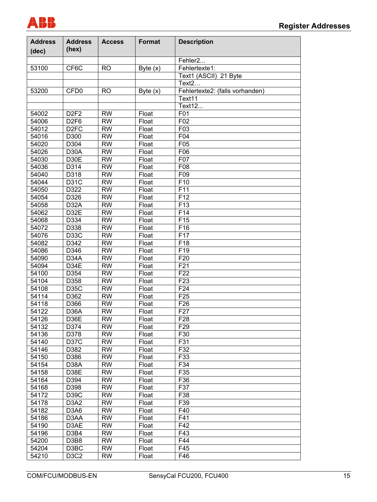

| <b>Address</b><br>(dec) | <b>Address</b><br>(hex)       | <b>Access</b> | <b>Format</b> | <b>Description</b>              |
|-------------------------|-------------------------------|---------------|---------------|---------------------------------|
|                         |                               |               |               | Fehler2                         |
| 53100                   | CF6C                          | <b>RO</b>     | Byte $(x)$    | Fehlertexte1:                   |
|                         |                               |               |               | Text1 (ASCII) 21 Byte           |
|                         |                               |               |               | Text <sub>2</sub>               |
| 53200                   | CFD <sub>0</sub>              | <b>RO</b>     | Byte $(x)$    | Fehlertexte2: (falls vorhanden) |
|                         |                               |               |               | Text11                          |
|                         |                               |               |               | Text12                          |
| 54002                   | D <sub>2F2</sub>              | <b>RW</b>     | Float         | F01                             |
| 54006                   | D <sub>2F6</sub>              | <b>RW</b>     | Float         | F02                             |
| 54012                   | D <sub>2</sub> FC             | <b>RW</b>     | Float         | F03                             |
| 54016                   | D300                          | <b>RW</b>     | Float         | F04                             |
| 54020                   | D304                          | <b>RW</b>     | Float         | F05                             |
| 54026                   | D <sub>30</sub> A             | <b>RW</b>     | Float         | F06                             |
| 54030                   | D30E                          | <b>RW</b>     | Float         | F07                             |
| 54036                   | D314                          | <b>RW</b>     | Float         | F08                             |
|                         |                               | <b>RW</b>     | Float         |                                 |
| 54040                   | D318                          | <b>RW</b>     |               | F09<br>F10                      |
| 54044                   | <b>D31C</b>                   |               | Float         |                                 |
| 54050                   | D322                          | <b>RW</b>     | Float         | F11                             |
| 54054                   | D326                          | <b>RW</b>     | Float         | F <sub>12</sub>                 |
| 54058                   | D <sub>32</sub> A             | <b>RW</b>     | Float         | F <sub>13</sub>                 |
| 54062                   | D32E                          | <b>RW</b>     | Float         | F14                             |
| 54068                   | D334                          | <b>RW</b>     | Float         | F <sub>15</sub>                 |
| 54072                   | D338                          | <b>RW</b>     | Float         | F16                             |
| 54076                   | D <sub>3</sub> 3C             | <b>RW</b>     | Float         | F <sub>17</sub>                 |
| 54082                   | D342                          | <b>RW</b>     | Float         | F18                             |
| 54086                   | D346                          | <b>RW</b>     | Float         | F <sub>19</sub>                 |
| 54090                   | D34A                          | <b>RW</b>     | Float         | F20                             |
| 54094                   | D34E                          | <b>RW</b>     | Float         | F <sub>21</sub>                 |
| 54100                   | D354                          | <b>RW</b>     | Float         | F <sub>22</sub>                 |
| 54104                   | D358                          | <b>RW</b>     | Float         | F <sub>23</sub>                 |
| 54108                   | <b>D35C</b>                   | <b>RW</b>     | Float         | F <sub>24</sub>                 |
| 54114                   | D362                          | <b>RW</b>     | Float         | F <sub>25</sub>                 |
| 54118                   | D366                          | <b>RW</b>     | Float         | F <sub>26</sub>                 |
| 54122                   | D <sub>36</sub> A             | <b>RW</b>     | Float         | F <sub>27</sub>                 |
| 54126                   | D36E                          | <b>RW</b>     | Float         | F <sub>28</sub>                 |
| 54132                   | D374                          | <b>RW</b>     | Float         | F <sub>29</sub>                 |
| 54136                   | D378                          | <b>RW</b>     | Float         | F30                             |
| 54140                   | <b>D37C</b>                   | <b>RW</b>     | Float         | F31                             |
| 54146                   | D382                          | <b>RW</b>     | Float         | $\overline{F}32$                |
| 54150                   | D386                          | <b>RW</b>     | Float         | F33                             |
| 54154                   | D <sub>3</sub> 8A             | <b>RW</b>     | Float         | F34                             |
| 54158                   | D38E                          | <b>RW</b>     | Float         | F35                             |
| 54164                   | D394                          | <b>RW</b>     | Float         | F36                             |
| 54168                   | D398                          | <b>RW</b>     | Float         | F37                             |
| 54172                   | D39C                          | <b>RW</b>     | Float         | F38                             |
| 54178                   | D <sub>3</sub> A <sub>2</sub> | <b>RW</b>     | Float         | F39                             |
| 54182                   | D <sub>3</sub> A <sub>6</sub> | <b>RW</b>     | Float         | F40                             |
| 54186                   | D <sub>3</sub> AA             | <b>RW</b>     | Float         | F41                             |
| 54190                   | D3AE                          | <b>RW</b>     | Float         | F42                             |
| 54196                   | D <sub>3</sub> B <sub>4</sub> | <b>RW</b>     | Float         | F43                             |
| 54200                   | D3B8                          | <b>RW</b>     | Float         | F44                             |
| 54204                   | D3BC                          | <b>RW</b>     | Float         | F45                             |
| 54210                   | D <sub>3</sub> C <sub>2</sub> | <b>RW</b>     | Float         | F46                             |
|                         |                               |               |               |                                 |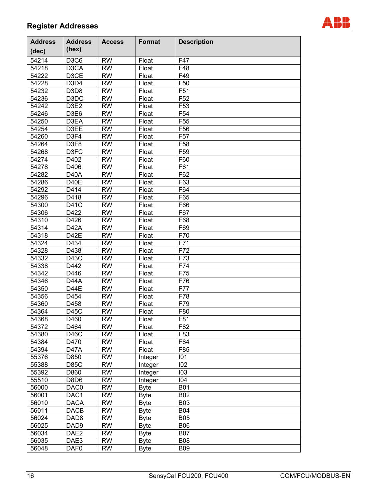

| <b>Address</b>     | <b>Address</b>                | <b>Access</b>   | Format              | <b>Description</b> |
|--------------------|-------------------------------|-----------------|---------------------|--------------------|
| (dec)              | (hex)                         |                 |                     |                    |
| 54214              | D <sub>3</sub> C <sub>6</sub> | <b>RW</b>       |                     | F47                |
| 54218              | D <sub>3</sub> CA             | <b>RW</b>       | Float<br>Float      | F48                |
| 54222              | D3CE                          | <b>RW</b>       | Float               | F49                |
| 54228              | D <sub>3</sub> D <sub>4</sub> | <b>RW</b>       | Float               | F50                |
| 54232              | D <sub>3</sub> D <sub>8</sub> | <b>RW</b>       | Float               | F51                |
| 54236              | D <sub>3</sub> D <sub>C</sub> | <b>RW</b>       | Float               | F <sub>52</sub>    |
| $\overline{54242}$ | D <sub>3E2</sub>              | <b>RW</b>       | Float               | F53                |
| 54246              |                               | <b>RW</b>       | Float               | F54                |
| 54250              | D3E6<br>D3EA                  | <b>RW</b>       | Float               | F <sub>55</sub>    |
| 54254              | D3EE                          | <b>RW</b>       | Float               |                    |
|                    | D <sub>3F4</sub>              | <b>RW</b>       |                     | F56                |
| 54260              | D3F8                          | <b>RW</b>       | Float               | F <sub>57</sub>    |
| 54264              |                               |                 | Float               | F58                |
| 54268              | D3FC                          | <b>RW</b>       | Float               | F59                |
| 54274              | D402                          | <b>RW</b>       | Float               | F60                |
| 54278              | D406                          | <b>RW</b>       | Float               | F61                |
| 54282              | <b>D40A</b>                   | <b>RW</b>       | Float               | F62                |
| 54286              | D40E                          | <b>RW</b>       | Float               | F63                |
| 54292              | D414                          | <b>RW</b>       | Float               | F64                |
| 54296              | D418                          | <b>RW</b>       | Float               | F65                |
| 54300              | D41C                          | <b>RW</b>       | Float               | F66                |
| 54306              | D422                          | <b>RW</b>       | Float               | F67                |
| 54310              | D426                          | <b>RW</b>       | Float               | F68                |
| 54314              | D <sub>42</sub> A             | <b>RW</b>       | Float               | F69                |
| 54318              | D42E                          | <b>RW</b>       | Float               | F70                |
| 54324              | D434                          | <b>RW</b>       | Float               | F71                |
| 54328              | D438                          | <b>RW</b>       | Float               | F72                |
| 54332              | D43C                          | <b>RW</b>       | Float               | F73                |
| 54338              | D442                          | <b>RW</b>       | Float               | F74                |
| 54342              | D446                          | <b>RW</b>       | Float               | F75                |
| 54346              | D44A                          | <b>RW</b>       | Float               | F76                |
| 54350              | D44E                          | <b>RW</b>       | Float               | F77                |
| 54356              | D454                          | <b>RW</b>       | Float               | F78                |
| 54360              | D458                          | <b>RW</b>       | Float               | F79                |
| 54364              | D45C                          | <b>RW</b>       | Float               | F80                |
| 54368              | D <sub>46</sub> 0             | $\overline{RW}$ | $\overline{Flo}$ at | F81                |
| 54372              | D464                          | <b>RW</b>       | Float               | F82                |
| 54380              | D46C                          | <b>RW</b>       | Float               | F83                |
| 54384              | D470                          | <b>RW</b>       | Float               | F84                |
| 54394              | D <sub>47</sub> A             | <b>RW</b>       | Float               | F85                |
| 55376              | D850                          | <b>RW</b>       | Integer             | 101                |
| 55388              | <b>D85C</b>                   | <b>RW</b>       | Integer             | 102                |
| 55392              | D860                          | <b>RW</b>       | Integer             | 103                |
| 55510              | D8D6                          | <b>RW</b>       | Integer             | 104                |
| 56000              | DAC0                          | <b>RW</b>       | <b>Byte</b>         | <b>B01</b>         |
| 56001              | DAC1                          | <b>RW</b>       | <b>Byte</b>         | <b>B02</b>         |
| 56010              | <b>DACA</b>                   | <b>RW</b>       | <b>Byte</b>         | <b>B03</b>         |
| 56011              | <b>DACB</b>                   | <b>RW</b>       | <b>Byte</b>         | <b>B04</b>         |
| 56024              | DAD <sub>8</sub>              | <b>RW</b>       | <b>Byte</b>         | <b>B05</b>         |
| 56025              | DAD <sub>9</sub>              | <b>RW</b>       | <b>Byte</b>         | <b>B06</b>         |
| 56034              | DAE <sub>2</sub>              | <b>RW</b>       | <b>Byte</b>         | <b>B07</b>         |
| 56035              | DAE3                          | <b>RW</b>       | <b>Byte</b>         | <b>B08</b>         |
| 56048              | DAF <sub>0</sub>              | <b>RW</b>       | <b>Byte</b>         | <b>B09</b>         |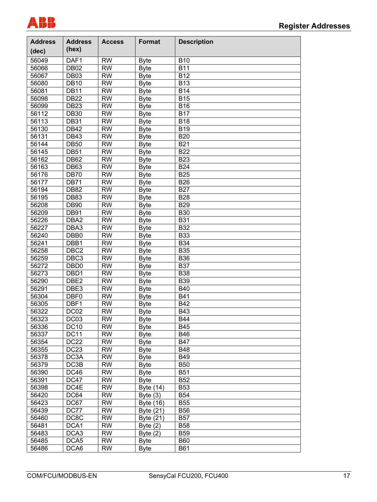

| <b>Address</b><br>(dec) | <b>Address</b><br>(hex) | <b>Access</b> | <b>Format</b> | <b>Description</b> |
|-------------------------|-------------------------|---------------|---------------|--------------------|
| 56049                   | DAF1                    | <b>RW</b>     | <b>Byte</b>   | <b>B10</b>         |
| 56066                   | <b>DB02</b>             | <b>RW</b>     | <b>Byte</b>   | <b>B11</b>         |
| 56067                   | <b>DB03</b>             | <b>RW</b>     | <b>Byte</b>   | <b>B12</b>         |
| 56080                   | <b>DB10</b>             | <b>RW</b>     | <b>Byte</b>   | <b>B13</b>         |
| 56081                   | <b>DB11</b>             | <b>RW</b>     | <b>Byte</b>   | <b>B14</b>         |
| 56098                   | <b>DB22</b>             | <b>RW</b>     | <b>Byte</b>   | <b>B15</b>         |
| 56099                   | <b>DB23</b>             | <b>RW</b>     | <b>Byte</b>   | <b>B16</b>         |
| 56112                   | <b>DB30</b>             | <b>RW</b>     | <b>Byte</b>   | <b>B17</b>         |
| 56113                   | <b>DB31</b>             | <b>RW</b>     | <b>Byte</b>   | <b>B18</b>         |
| 56130                   | <b>DB42</b>             | <b>RW</b>     | <b>Byte</b>   | <b>B19</b>         |
| 56131                   | <b>DB43</b>             | <b>RW</b>     | <b>Byte</b>   | <b>B20</b>         |
| 56144                   | <b>DB50</b>             | <b>RW</b>     | <b>Byte</b>   | <b>B21</b>         |
| 56145                   | <b>DB51</b>             | <b>RW</b>     | <b>Byte</b>   | <b>B22</b>         |
| 56162                   | <b>DB62</b>             | <b>RW</b>     | <b>Byte</b>   | <b>B23</b>         |
| 56163                   | DB63                    | <b>RW</b>     | <b>Byte</b>   | <b>B24</b>         |
| 56176                   | <b>DB70</b>             | <b>RW</b>     | <b>Byte</b>   | <b>B25</b>         |
| 56177                   | <b>DB71</b>             | <b>RW</b>     | <b>Byte</b>   | <b>B26</b>         |
| 56194                   | <b>DB82</b>             | <b>RW</b>     | <b>Byte</b>   | <b>B27</b>         |
| 56195                   | <b>DB83</b>             | <b>RW</b>     | <b>Byte</b>   | <b>B28</b>         |
| 56208                   | <b>DB90</b>             | <b>RW</b>     | <b>Byte</b>   | <b>B29</b>         |
| 56209                   | <b>DB91</b>             | <b>RW</b>     | <b>Byte</b>   | <b>B30</b>         |
| 56226                   | DBA <sub>2</sub>        | <b>RW</b>     | <b>Byte</b>   | <b>B31</b>         |
| 56227                   | DBA3                    | <b>RW</b>     | <b>Byte</b>   | <b>B32</b>         |
| 56240                   | DBB <sub>0</sub>        | <b>RW</b>     | <b>Byte</b>   | <b>B33</b>         |
| 56241                   | DBB1                    | <b>RW</b>     | <b>Byte</b>   | <b>B34</b>         |
| 56258                   | DBC <sub>2</sub>        | <b>RW</b>     | <b>Byte</b>   | <b>B35</b>         |
| 56259                   | DBC <sub>3</sub>        | <b>RW</b>     | <b>Byte</b>   | <b>B36</b>         |
| 56272                   | DBD <sub>0</sub>        | <b>RW</b>     | <b>Byte</b>   | <b>B37</b>         |
| 56273                   | DBD1                    | <b>RW</b>     | <b>Byte</b>   | <b>B38</b>         |
| 56290                   | DBE <sub>2</sub>        | <b>RW</b>     | <b>Byte</b>   | <b>B39</b>         |
| 56291                   | DBE3                    | <b>RW</b>     | <b>Byte</b>   | <b>B40</b>         |
| 56304                   | DBF0                    | <b>RW</b>     | <b>Byte</b>   | <b>B41</b>         |
| 56305                   | DBF1                    | <b>RW</b>     | <b>Byte</b>   | <b>B42</b>         |
| 56322                   | DC <sub>02</sub>        | <b>RW</b>     | Byte          | <b>B43</b>         |
| 56323                   | DC03                    | <b>RW</b>     | <b>Byte</b>   | <b>B44</b>         |
| 56336                   | <b>DC10</b>             | <b>RW</b>     | <b>Byte</b>   | B45                |
| 56337                   | DC11                    | <b>RW</b>     | <b>Byte</b>   | <b>B46</b>         |
| 56354                   | <b>DC22</b>             | <b>RW</b>     | <b>Byte</b>   | <b>B47</b>         |
| 56355                   | <b>DC23</b>             | <b>RW</b>     | <b>Byte</b>   | <b>B48</b>         |
| 56378                   | DC3A                    | <b>RW</b>     | <b>Byte</b>   | <b>B49</b>         |
| 56379                   | DC3B                    | <b>RW</b>     | <b>Byte</b>   | <b>B50</b>         |
| 56390                   | <b>DC46</b>             | <b>RW</b>     | <b>Byte</b>   | <b>B51</b>         |
| 56391                   | <b>DC47</b>             | <b>RW</b>     | <b>Byte</b>   | <b>B52</b>         |
| 56398                   | DC4E                    | <b>RW</b>     | Byte (14)     | <b>B53</b>         |
| 56420                   | DC64                    | <b>RW</b>     | Byte $(3)$    | <b>B54</b>         |
| 56423                   | DC67                    | <b>RW</b>     | Byte (16)     | <b>B55</b>         |
| 56439                   | DC77                    | <b>RW</b>     | Byte (21)     | <b>B56</b>         |
| 56460                   | DC8C                    | <b>RW</b>     | Byte (21)     | <b>B57</b>         |
| 56481                   | DCA1                    | <b>RW</b>     | Byte $(2)$    | <b>B58</b>         |
| 56483                   | DCA3                    | <b>RW</b>     | Byte $(2)$    | <b>B59</b>         |
| 56485                   | DCA5                    | <b>RW</b>     | <b>Byte</b>   | <b>B60</b>         |
| 56486                   | DCA6                    | <b>RW</b>     | <b>Byte</b>   | <b>B61</b>         |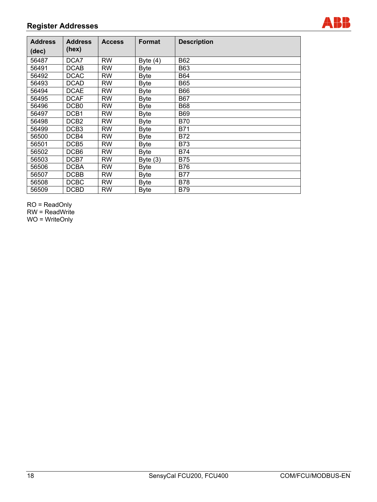

| <b>Address</b><br>(dec) | <b>Address</b><br>(hex) | <b>Access</b> | <b>Format</b> | <b>Description</b> |
|-------------------------|-------------------------|---------------|---------------|--------------------|
| 56487                   | DCA7                    | <b>RW</b>     | Byte $(4)$    | <b>B62</b>         |
| 56491                   | <b>DCAB</b>             | <b>RW</b>     | <b>Byte</b>   | <b>B63</b>         |
| 56492                   | <b>DCAC</b>             | <b>RW</b>     | <b>Byte</b>   | <b>B64</b>         |
| 56493                   | <b>DCAD</b>             | <b>RW</b>     | <b>Byte</b>   | <b>B65</b>         |
| 56494                   | <b>DCAE</b>             | <b>RW</b>     | Byte          | <b>B66</b>         |
| 56495                   | <b>DCAF</b>             | <b>RW</b>     | Byte          | <b>B67</b>         |
| 56496                   | DCB <sub>0</sub>        | <b>RW</b>     | <b>Byte</b>   | <b>B68</b>         |
| 56497                   | DCB <sub>1</sub>        | <b>RW</b>     | <b>Byte</b>   | <b>B69</b>         |
| 56498                   | DCB <sub>2</sub>        | <b>RW</b>     | <b>Byte</b>   | <b>B70</b>         |
| 56499                   | DCB <sub>3</sub>        | <b>RW</b>     | <b>Byte</b>   | <b>B71</b>         |
| 56500                   | DCB4                    | <b>RW</b>     | <b>Byte</b>   | <b>B72</b>         |
| 56501                   | DCB <sub>5</sub>        | <b>RW</b>     | <b>Byte</b>   | <b>B73</b>         |
| 56502                   | DCB <sub>6</sub>        | <b>RW</b>     | <b>Byte</b>   | <b>B74</b>         |
| 56503                   | DCB7                    | <b>RW</b>     | Byte $(3)$    | <b>B75</b>         |
| 56506                   | <b>DCBA</b>             | <b>RW</b>     | Byte          | <b>B76</b>         |
| 56507                   | <b>DCBB</b>             | <b>RW</b>     | <b>Byte</b>   | <b>B77</b>         |
| 56508                   | <b>DCBC</b>             | <b>RW</b>     | <b>Byte</b>   | <b>B78</b>         |
| 56509                   | <b>DCBD</b>             | <b>RW</b>     | <b>Byte</b>   | <b>B79</b>         |

RO = ReadOnly

RW = ReadWrite

WO = WriteOnly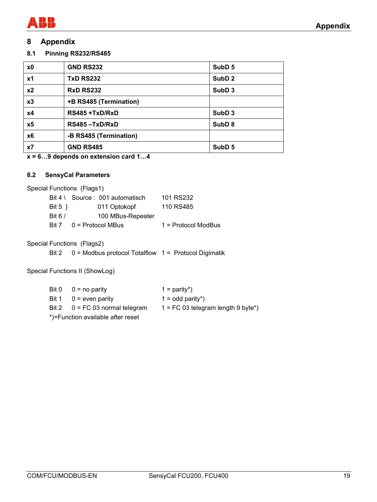

## **8 Appendix**

**8.1 Pinning RS232/RS485** 

| x0             | <b>GND RS232</b>       | SubD <sub>5</sub> |
|----------------|------------------------|-------------------|
| x1             | <b>TxD RS232</b>       | SubD <sub>2</sub> |
| x <sub>2</sub> | <b>RxD RS232</b>       | SubD <sub>3</sub> |
| x3             | +B RS485 (Termination) |                   |
| x4             | RS485 +TxD/RxD         | SubD <sub>3</sub> |
| x5             | RS485-TxD/RxD          | SubD <sub>8</sub> |
| x <sub>6</sub> | -B RS485 (Termination) |                   |
| x7             | <b>GND RS485</b>       | SubD <sub>5</sub> |

**x = 6…9 depends on extension card 1…4** 

## **8.2 SensyCal Parameters**

Special Functions (Flags1)

|            | $Bit 4 \setminus$ Source : 001 automatisch | 101 RS232             |
|------------|--------------------------------------------|-----------------------|
| Bit 5 $\}$ | 011 Optokopf                               | 110 RS485             |
| Bit 6 $/$  | 100 MBus-Repeater                          |                       |
| Rit 7      | $0 =$ Protocol MBus                        | $1 =$ Protocol ModBus |

Special Functions (Flags2)

Bit 2 0 = Modbus protocol Totalflow 1 = Protocol Digimatik

Special Functions II (ShowLog)

|  | Bit $0 \quad 0 =$ no parity              | $1 =$ parity*)                       |
|--|------------------------------------------|--------------------------------------|
|  | Bit $1 \quad 0$ = even parity            | $1 =$ odd parity <sup>*</sup> )      |
|  | Bit $2 \qquad 0 = FC 03$ normal telegram | $1 = FC$ 03 telegram length 9 byte*) |
|  | *)=Function available after reset        |                                      |